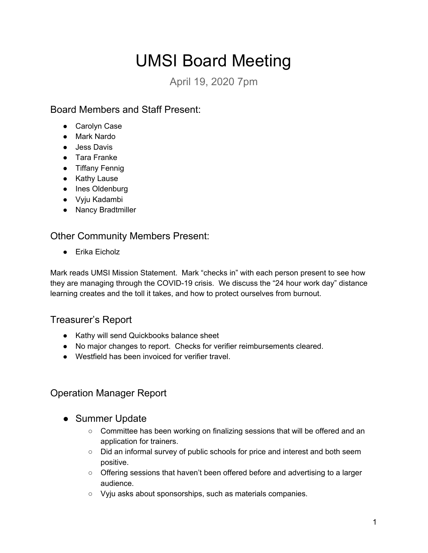# UMSI Board Meeting

April 19, 2020 7pm

## Board Members and Staff Present:

- Carolyn Case
- Mark Nardo
- Jess Davis
- Tara Franke
- Tiffany Fennig
- Kathy Lause
- Ines Oldenburg
- Vyju Kadambi
- Nancy Bradtmiller

### Other Community Members Present:

● Erika Eicholz

Mark reads UMSI Mission Statement. Mark "checks in" with each person present to see how they are managing through the COVID-19 crisis. We discuss the "24 hour work day" distance learning creates and the toll it takes, and how to protect ourselves from burnout.

# Treasurer's Report

- Kathy will send Quickbooks balance sheet
- No major changes to report. Checks for verifier reimbursements cleared.
- Westfield has been invoiced for verifier travel.

# Operation Manager Report

- Summer Update
	- Committee has been working on finalizing sessions that will be offered and an application for trainers.
	- Did an informal survey of public schools for price and interest and both seem positive.
	- Offering sessions that haven't been offered before and advertising to a larger audience.
	- Vyju asks about sponsorships, such as materials companies.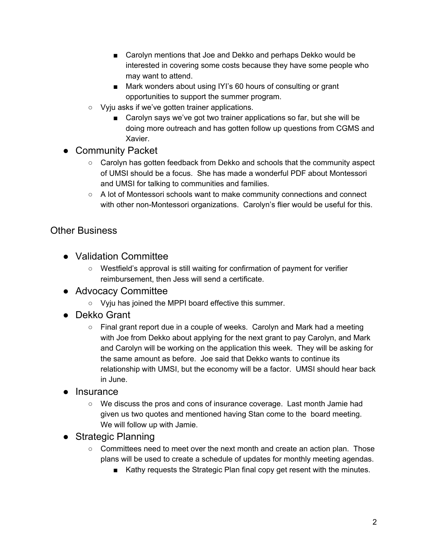- Carolyn mentions that Joe and Dekko and perhaps Dekko would be interested in covering some costs because they have some people who may want to attend.
- Mark wonders about using IYI's 60 hours of consulting or grant opportunities to support the summer program.
- Vyju asks if we've gotten trainer applications.
	- Carolyn says we've got two trainer applications so far, but she will be doing more outreach and has gotten follow up questions from CGMS and Xavier.
- Community Packet
	- Carolyn has gotten feedback from Dekko and schools that the community aspect of UMSI should be a focus. She has made a wonderful PDF about Montessori and UMSI for talking to communities and families.
	- $\circ$  A lot of Montessori schools want to make community connections and connect with other non-Montessori organizations. Carolyn's flier would be useful for this.

### Other Business

- Validation Committee
	- Westfield's approval is still waiting for confirmation of payment for verifier reimbursement, then Jess will send a certificate.
- Advocacy Committee
	- Vyju has joined the MPPI board effective this summer.
- Dekko Grant
	- $\circ$  Final grant report due in a couple of weeks. Carolyn and Mark had a meeting with Joe from Dekko about applying for the next grant to pay Carolyn, and Mark and Carolyn will be working on the application this week. They will be asking for the same amount as before. Joe said that Dekko wants to continue its relationship with UMSI, but the economy will be a factor. UMSI should hear back in June.
- lnsurance
	- We discuss the pros and cons of insurance coverage. Last month Jamie had given us two quotes and mentioned having Stan come to the board meeting. We will follow up with Jamie.
- Strategic Planning
	- Committees need to meet over the next month and create an action plan. Those plans will be used to create a schedule of updates for monthly meeting agendas.
		- Kathy requests the Strategic Plan final copy get resent with the minutes.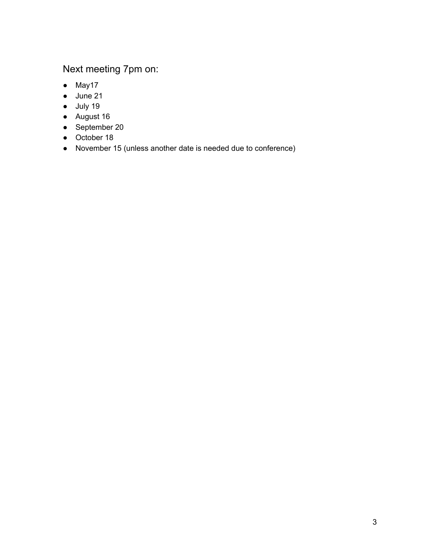# Next meeting 7pm on:

- May17
- June 21
- July 19
- August 16
- September 20
- October 18
- November 15 (unless another date is needed due to conference)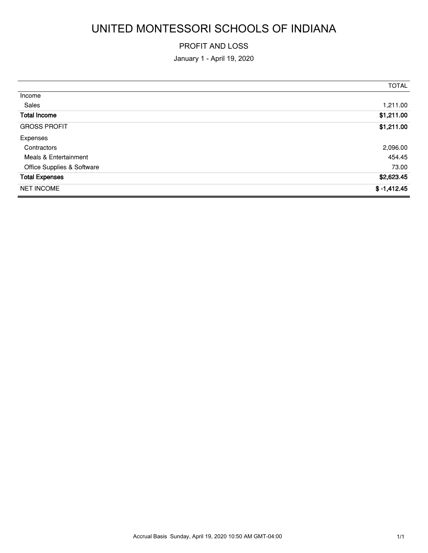# UNITED MONTESSORI SCHOOLS OF INDIANA

#### PROFIT AND LOSS

January 1 - April 19, 2020

|                            | <b>TOTAL</b>  |
|----------------------------|---------------|
| Income                     |               |
| Sales                      | 1,211.00      |
| <b>Total Income</b>        | \$1,211.00    |
| <b>GROSS PROFIT</b>        | \$1,211.00    |
| Expenses                   |               |
| Contractors                | 2,096.00      |
| Meals & Entertainment      | 454.45        |
| Office Supplies & Software | 73.00         |
| <b>Total Expenses</b>      | \$2,623.45    |
| <b>NET INCOME</b>          | $$ -1,412.45$ |